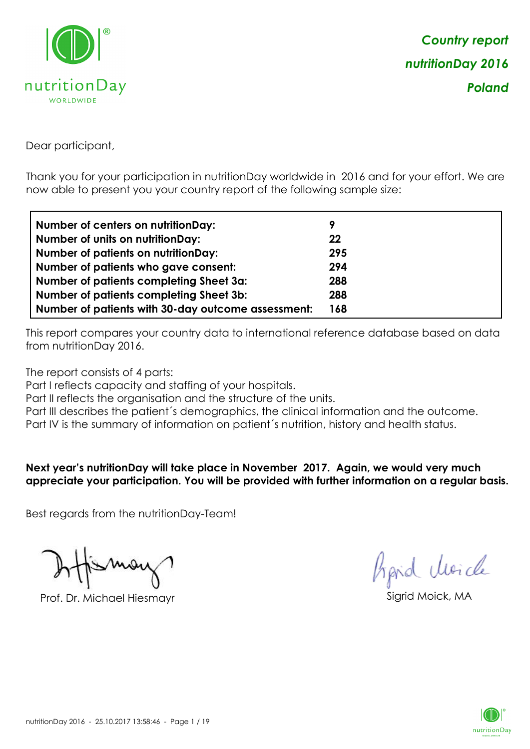

Dear participant,

Thank you for your participation in nutritionDay worldwide in 2016 and for your effort. We are now able to present you your country report of the following sample size:

| <b>Number of centers on nutritionDay:</b>          | 9   |
|----------------------------------------------------|-----|
| <b>Number of units on nutritionDay:</b>            | 22  |
| <b>Number of patients on nutritionDay:</b>         | 295 |
| Number of patients who gave consent:               | 294 |
| Number of patients completing Sheet 3a:            | 288 |
| <b>Number of patients completing Sheet 3b:</b>     | 288 |
| Number of patients with 30-day outcome assessment: | 168 |

This report compares your country data to international reference database based on data from nutritionDay 2016.

The report consists of 4 parts:

Part I reflects capacity and staffing of your hospitals.

Part II reflects the organisation and the structure of the units.

Part III describes the patient's demographics, the clinical information and the outcome.

Part IV is the summary of information on patient´s nutrition, history and health status.

**Next year's nutritionDay will take place in November 2017. Again, we would very much appreciate your participation. You will be provided with further information on a regular basis.**

Best regards from the nutritionDay-Team!

Prof. Dr. Michael Hiesmayr Sigrid Moick, MA

*Prpid cleacle* 

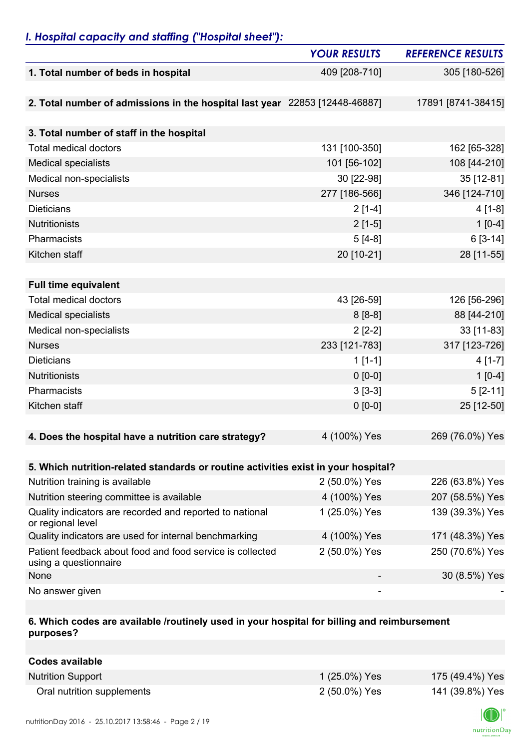## *I. Hospital capacity and staffing ("Hospital sheet"):*

|                                                                                    | <b>YOUR RESULTS</b> | <b>REFERENCE RESULTS</b> |
|------------------------------------------------------------------------------------|---------------------|--------------------------|
| 1. Total number of beds in hospital                                                | 409 [208-710]       | 305 [180-526]            |
|                                                                                    |                     |                          |
| 2. Total number of admissions in the hospital last year 22853 [12448-46887]        |                     | 17891 [8741-38415]       |
| 3. Total number of staff in the hospital                                           |                     |                          |
| <b>Total medical doctors</b>                                                       | 131 [100-350]       | 162 [65-328]             |
| <b>Medical specialists</b>                                                         | 101 [56-102]        | 108 [44-210]             |
| Medical non-specialists                                                            | 30 [22-98]          | 35 [12-81]               |
| <b>Nurses</b>                                                                      | 277 [186-566]       | 346 [124-710]            |
| <b>Dieticians</b>                                                                  |                     |                          |
|                                                                                    | $2[1-4]$            | $4[1-8]$                 |
| Nutritionists<br>Pharmacists                                                       | $2[1-5]$            | $1[0-4]$                 |
|                                                                                    | $5[4-8]$            | $6[3-14]$                |
| Kitchen staff                                                                      | 20 [10-21]          | 28 [11-55]               |
|                                                                                    |                     |                          |
| <b>Full time equivalent</b>                                                        |                     |                          |
| <b>Total medical doctors</b>                                                       | 43 [26-59]          | 126 [56-296]             |
| <b>Medical specialists</b>                                                         | $8[8-8]$            | 88 [44-210]              |
| Medical non-specialists                                                            | $2[2-2]$            | 33 [11-83]               |
| <b>Nurses</b>                                                                      | 233 [121-783]       | 317 [123-726]            |
| <b>Dieticians</b>                                                                  | $1[1-1]$            | $4[1-7]$                 |
| Nutritionists                                                                      | $0 [0-0]$           | $1[0-4]$                 |
| Pharmacists                                                                        | $3[3-3]$            | $5[2-11]$                |
| Kitchen staff                                                                      | $0 [0-0]$           | 25 [12-50]               |
| 4. Does the hospital have a nutrition care strategy?                               | 4 (100%) Yes        | 269 (76.0%) Yes          |
|                                                                                    |                     |                          |
| 5. Which nutrition-related standards or routine activities exist in your hospital? |                     |                          |
| Nutrition training is available                                                    | 2 (50.0%) Yes       | 226 (63.8%) Yes          |
| Nutrition steering committee is available                                          | 4 (100%) Yes        | 207 (58.5%) Yes          |
| Quality indicators are recorded and reported to national<br>or regional level      | 1 (25.0%) Yes       | 139 (39.3%) Yes          |
| Quality indicators are used for internal benchmarking                              | 4 (100%) Yes        | 171 (48.3%) Yes          |
| Patient feedback about food and food service is collected<br>using a questionnaire | 2 (50.0%) Yes       | 250 (70.6%) Yes          |
| None                                                                               |                     | 30 (8.5%) Yes            |
| No answer given                                                                    |                     |                          |

## **6. Which codes are available /routinely used in your hospital for billing and reimbursement purposes?**

| Codes available            |               |                 |
|----------------------------|---------------|-----------------|
| <b>Nutrition Support</b>   | 1 (25.0%) Yes | 175 (49.4%) Yes |
| Oral nutrition supplements | 2 (50.0%) Yes | 141 (39.8%) Yes |

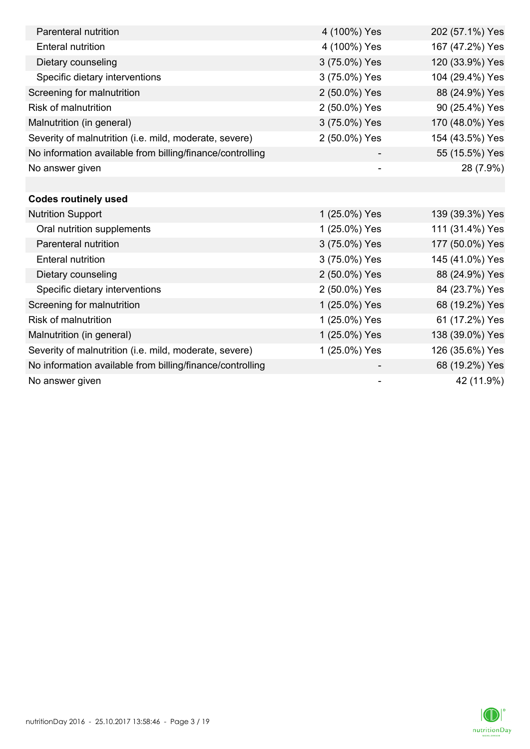| Parenteral nutrition                                      | 4 (100%) Yes             | 202 (57.1%) Yes |
|-----------------------------------------------------------|--------------------------|-----------------|
| <b>Enteral nutrition</b>                                  | 4 (100%) Yes             | 167 (47.2%) Yes |
| Dietary counseling                                        | 3 (75.0%) Yes            | 120 (33.9%) Yes |
| Specific dietary interventions                            | 3 (75.0%) Yes            | 104 (29.4%) Yes |
| Screening for malnutrition                                | 2 (50.0%) Yes            | 88 (24.9%) Yes  |
| <b>Risk of malnutrition</b>                               | 2 (50.0%) Yes            | 90 (25.4%) Yes  |
| Malnutrition (in general)                                 | 3 (75.0%) Yes            | 170 (48.0%) Yes |
| Severity of malnutrition (i.e. mild, moderate, severe)    | 2 (50.0%) Yes            | 154 (43.5%) Yes |
| No information available from billing/finance/controlling |                          | 55 (15.5%) Yes  |
| No answer given                                           |                          | 28 (7.9%)       |
|                                                           |                          |                 |
| <b>Codes routinely used</b>                               |                          |                 |
| <b>Nutrition Support</b>                                  | 1 (25.0%) Yes            | 139 (39.3%) Yes |
| Oral nutrition supplements                                | 1 (25.0%) Yes            | 111 (31.4%) Yes |
| Parenteral nutrition                                      | 3 (75.0%) Yes            | 177 (50.0%) Yes |
| <b>Enteral nutrition</b>                                  | 3 (75.0%) Yes            | 145 (41.0%) Yes |
| Dietary counseling                                        | 2 (50.0%) Yes            | 88 (24.9%) Yes  |
| Specific dietary interventions                            | 2 (50.0%) Yes            | 84 (23.7%) Yes  |
| Screening for malnutrition                                | 1 (25.0%) Yes            | 68 (19.2%) Yes  |
| <b>Risk of malnutrition</b>                               | 1 (25.0%) Yes            | 61 (17.2%) Yes  |
| Malnutrition (in general)                                 | 1 (25.0%) Yes            | 138 (39.0%) Yes |
| Severity of malnutrition (i.e. mild, moderate, severe)    | 1 (25.0%) Yes            | 126 (35.6%) Yes |
| No information available from billing/finance/controlling |                          | 68 (19.2%) Yes  |
| No answer given                                           | $\overline{\phantom{a}}$ | 42 (11.9%)      |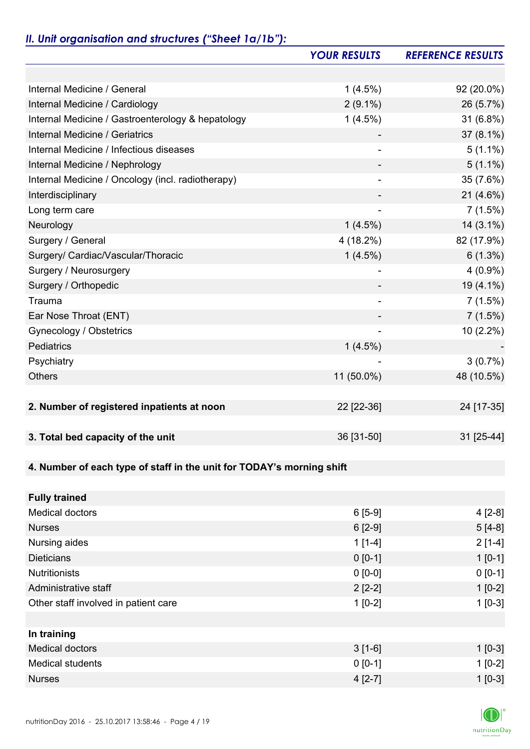## *II. Unit organisation and structures ("Sheet 1a/1b"):*

|                                                                       | <b>YOUR RESULTS</b>          | <b>REFERENCE RESULTS</b> |
|-----------------------------------------------------------------------|------------------------------|--------------------------|
|                                                                       |                              |                          |
| Internal Medicine / General                                           | $1(4.5\%)$                   | 92 (20.0%)               |
| Internal Medicine / Cardiology                                        | $2(9.1\%)$                   | 26 (5.7%)                |
| Internal Medicine / Gastroenterology & hepatology                     | $1(4.5\%)$                   | 31 (6.8%)                |
| Internal Medicine / Geriatrics                                        |                              | 37 (8.1%)                |
| Internal Medicine / Infectious diseases                               |                              | $5(1.1\%)$               |
| Internal Medicine / Nephrology                                        | -                            | $5(1.1\%)$               |
| Internal Medicine / Oncology (incl. radiotherapy)                     |                              | 35 (7.6%)                |
| Interdisciplinary                                                     |                              | $21(4.6\%)$              |
| Long term care                                                        | $\qquad \qquad \blacksquare$ | 7(1.5%)                  |
| Neurology                                                             | $1(4.5\%)$                   | $14(3.1\%)$              |
| Surgery / General                                                     | 4 (18.2%)                    | 82 (17.9%)               |
| Surgery/ Cardiac/Vascular/Thoracic                                    | $1(4.5\%)$                   | $6(1.3\%)$               |
| Surgery / Neurosurgery                                                |                              | $4(0.9\%)$               |
| Surgery / Orthopedic                                                  |                              | 19 (4.1%)                |
| Trauma                                                                |                              | 7(1.5%)                  |
| Ear Nose Throat (ENT)                                                 |                              | 7(1.5%)                  |
| Gynecology / Obstetrics                                               |                              | 10 (2.2%)                |
| Pediatrics                                                            | $1(4.5\%)$                   |                          |
| Psychiatry                                                            |                              | $3(0.7\%)$               |
| <b>Others</b>                                                         | 11 (50.0%)                   | 48 (10.5%)               |
|                                                                       |                              |                          |
| 2. Number of registered inpatients at noon                            | 22 [22-36]                   | 24 [17-35]               |
|                                                                       |                              |                          |
| 3. Total bed capacity of the unit                                     | 36 [31-50]                   | 31 [25-44]               |
|                                                                       |                              |                          |
| 4. Number of each type of staff in the unit for TODAY's morning shift |                              |                          |
|                                                                       |                              |                          |
| <b>Fully trained</b>                                                  |                              |                          |
| <b>Medical doctors</b>                                                | $6[5-9]$                     | $4[2-8]$                 |
| <b>Nurses</b>                                                         | $6[2-9]$                     | $5[4-8]$                 |
| Nursing aides                                                         | $1[1-4]$                     | $2[1-4]$                 |
| <b>Dieticians</b>                                                     | $0 [0-1]$                    | $1 [0-1]$                |
| <b>Nutritionists</b>                                                  | $0 [0-0]$                    | $0 [0-1]$                |
| Administrative staff                                                  | $2[2-2]$                     | $1[0-2]$                 |
| Other staff involved in patient care                                  | $1[0-2]$                     | $1[0-3]$                 |
|                                                                       |                              |                          |
| In training                                                           |                              |                          |
| <b>Medical doctors</b>                                                | $3[1-6]$                     | $1 [0-3]$                |
| <b>Medical students</b>                                               | $0 [0-1]$                    | $1[0-2]$                 |
| <b>Nurses</b>                                                         | $4[2-7]$                     | $1$ [0-3]                |

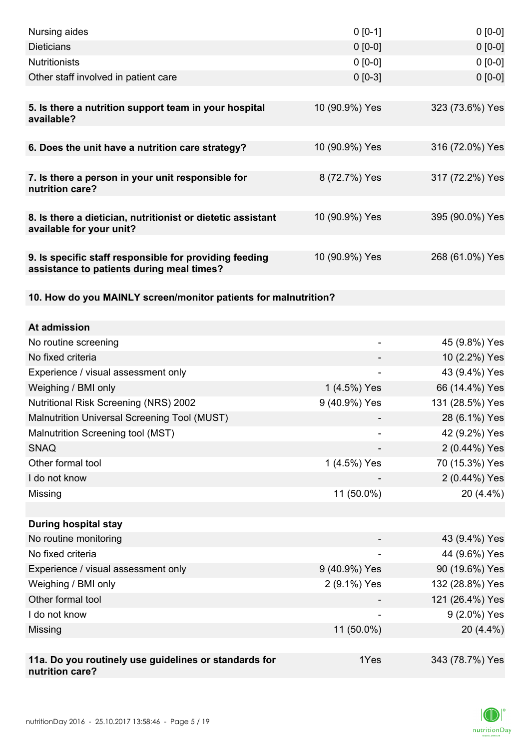| Nursing aides                                                                                       | $0 [0-1]$      | $0[0-0]$        |
|-----------------------------------------------------------------------------------------------------|----------------|-----------------|
| <b>Dieticians</b>                                                                                   | $0 [0-0]$      | $0[0-0]$        |
| <b>Nutritionists</b>                                                                                | $0 [0-0]$      | $0 [0-0]$       |
| Other staff involved in patient care                                                                | $0 [0-3]$      | $0 [0-0]$       |
|                                                                                                     |                |                 |
| 5. Is there a nutrition support team in your hospital<br>available?                                 | 10 (90.9%) Yes | 323 (73.6%) Yes |
| 6. Does the unit have a nutrition care strategy?                                                    | 10 (90.9%) Yes | 316 (72.0%) Yes |
| 7. Is there a person in your unit responsible for<br>nutrition care?                                | 8 (72.7%) Yes  | 317 (72.2%) Yes |
| 8. Is there a dietician, nutritionist or dietetic assistant<br>available for your unit?             | 10 (90.9%) Yes | 395 (90.0%) Yes |
| 9. Is specific staff responsible for providing feeding<br>assistance to patients during meal times? | 10 (90.9%) Yes | 268 (61.0%) Yes |
| 10. How do you MAINLY screen/monitor patients for malnutrition?                                     |                |                 |
|                                                                                                     |                |                 |
| At admission                                                                                        |                |                 |
| No routine screening                                                                                | ۰              | 45 (9.8%) Yes   |
| No fixed criteria                                                                                   |                | 10 (2.2%) Yes   |
| Experience / visual assessment only                                                                 |                | 43 (9.4%) Yes   |
| Weighing / BMI only                                                                                 | 1 (4.5%) Yes   | 66 (14.4%) Yes  |
| <b>Nutritional Risk Screening (NRS) 2002</b>                                                        | 9 (40.9%) Yes  | 131 (28.5%) Yes |
| Malnutrition Universal Screening Tool (MUST)                                                        |                | 28 (6.1%) Yes   |
| Malnutrition Screening tool (MST)                                                                   |                | 42 (9.2%) Yes   |
| <b>SNAQ</b>                                                                                         |                | 2 (0.44%) Yes   |
| Other formal tool                                                                                   | 1 (4.5%) Yes   | 70 (15.3%) Yes  |
| I do not know                                                                                       |                | 2 (0.44%) Yes   |
| Missing                                                                                             | 11 (50.0%)     | 20 (4.4%)       |
|                                                                                                     |                |                 |
| <b>During hospital stay</b>                                                                         |                |                 |
| No routine monitoring                                                                               |                | 43 (9.4%) Yes   |
| No fixed criteria                                                                                   |                | 44 (9.6%) Yes   |
| Experience / visual assessment only                                                                 | 9 (40.9%) Yes  | 90 (19.6%) Yes  |
| Weighing / BMI only                                                                                 | 2 (9.1%) Yes   | 132 (28.8%) Yes |
| Other formal tool                                                                                   |                | 121 (26.4%) Yes |
| I do not know                                                                                       |                | 9 (2.0%) Yes    |
| Missing                                                                                             | 11 (50.0%)     | 20 (4.4%)       |
|                                                                                                     |                |                 |
| 11a. Do you routinely use guidelines or standards for<br>nutrition care?                            | 1Yes           | 343 (78.7%) Yes |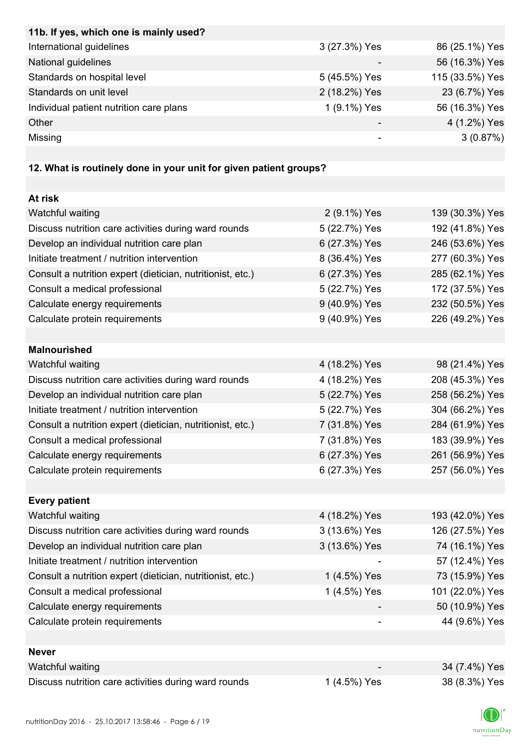| 11b. If yes, which one is mainly used?                            |               |                 |
|-------------------------------------------------------------------|---------------|-----------------|
| International guidelines                                          | 3 (27.3%) Yes | 86 (25.1%) Yes  |
| National guidelines                                               |               | 56 (16.3%) Yes  |
| Standards on hospital level                                       | 5 (45.5%) Yes | 115 (33.5%) Yes |
| Standards on unit level                                           | 2 (18.2%) Yes | 23 (6.7%) Yes   |
| Individual patient nutrition care plans                           | 1 (9.1%) Yes  | 56 (16.3%) Yes  |
| Other                                                             |               | 4 (1.2%) Yes    |
| Missing                                                           |               | 3(0.87%)        |
|                                                                   |               |                 |
| 12. What is routinely done in your unit for given patient groups? |               |                 |
|                                                                   |               |                 |
| At risk                                                           |               |                 |
| Watchful waiting                                                  | 2 (9.1%) Yes  | 139 (30.3%) Yes |
| Discuss nutrition care activities during ward rounds              | 5 (22.7%) Yes | 192 (41.8%) Yes |
| Develop an individual nutrition care plan                         | 6 (27.3%) Yes | 246 (53.6%) Yes |
| Initiate treatment / nutrition intervention                       | 8 (36.4%) Yes | 277 (60.3%) Yes |
| Consult a nutrition expert (dietician, nutritionist, etc.)        | 6 (27.3%) Yes | 285 (62.1%) Yes |
| Consult a medical professional                                    | 5 (22.7%) Yes | 172 (37.5%) Yes |
| Calculate energy requirements                                     | 9 (40.9%) Yes | 232 (50.5%) Yes |
| Calculate protein requirements                                    | 9 (40.9%) Yes | 226 (49.2%) Yes |
|                                                                   |               |                 |
| <b>Malnourished</b>                                               |               |                 |
| Watchful waiting                                                  | 4 (18.2%) Yes | 98 (21.4%) Yes  |
| Discuss nutrition care activities during ward rounds              | 4 (18.2%) Yes | 208 (45.3%) Yes |
| Develop an individual nutrition care plan                         | 5 (22.7%) Yes | 258 (56.2%) Yes |
| Initiate treatment / nutrition intervention                       | 5 (22.7%) Yes | 304 (66.2%) Yes |
| Consult a nutrition expert (dietician, nutritionist, etc.)        | 7 (31.8%) Yes | 284 (61.9%) Yes |
| Consult a medical professional                                    | 7 (31.8%) Yes | 183 (39.9%) Yes |
| Calculate energy requirements                                     | 6 (27.3%) Yes | 261 (56.9%) Yes |
| Calculate protein requirements                                    | 6 (27.3%) Yes | 257 (56.0%) Yes |
|                                                                   |               |                 |
| <b>Every patient</b>                                              |               |                 |
| Watchful waiting                                                  | 4 (18.2%) Yes | 193 (42.0%) Yes |
| Discuss nutrition care activities during ward rounds              | 3 (13.6%) Yes | 126 (27.5%) Yes |
| Develop an individual nutrition care plan                         | 3 (13.6%) Yes | 74 (16.1%) Yes  |
| Initiate treatment / nutrition intervention                       |               | 57 (12.4%) Yes  |
| Consult a nutrition expert (dietician, nutritionist, etc.)        | 1 (4.5%) Yes  | 73 (15.9%) Yes  |
| Consult a medical professional                                    | 1 (4.5%) Yes  | 101 (22.0%) Yes |
| Calculate energy requirements                                     |               | 50 (10.9%) Yes  |
| Calculate protein requirements                                    |               | 44 (9.6%) Yes   |
|                                                                   |               |                 |
| <b>Never</b>                                                      |               |                 |
| Watchful waiting                                                  |               | 34 (7.4%) Yes   |
| Discuss nutrition care activities during ward rounds              | 1 (4.5%) Yes  | 38 (8.3%) Yes   |

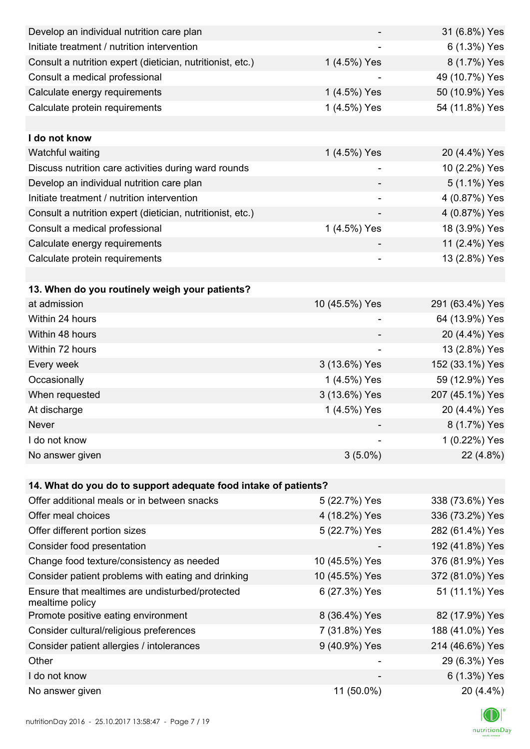| Develop an individual nutrition care plan                          |                          | 31 (6.8%) Yes   |
|--------------------------------------------------------------------|--------------------------|-----------------|
| Initiate treatment / nutrition intervention                        |                          | 6 (1.3%) Yes    |
| Consult a nutrition expert (dietician, nutritionist, etc.)         | 1 (4.5%) Yes             | 8 (1.7%) Yes    |
| Consult a medical professional                                     |                          | 49 (10.7%) Yes  |
| Calculate energy requirements                                      | 1 (4.5%) Yes             | 50 (10.9%) Yes  |
| Calculate protein requirements                                     | 1 (4.5%) Yes             | 54 (11.8%) Yes  |
|                                                                    |                          |                 |
| I do not know                                                      |                          |                 |
| Watchful waiting                                                   | 1 (4.5%) Yes             | 20 (4.4%) Yes   |
| Discuss nutrition care activities during ward rounds               | $\overline{a}$           | 10 (2.2%) Yes   |
| Develop an individual nutrition care plan                          |                          | 5 (1.1%) Yes    |
| Initiate treatment / nutrition intervention                        | $\overline{\phantom{0}}$ | 4 (0.87%) Yes   |
| Consult a nutrition expert (dietician, nutritionist, etc.)         |                          | 4 (0.87%) Yes   |
| Consult a medical professional                                     | 1 (4.5%) Yes             | 18 (3.9%) Yes   |
| Calculate energy requirements                                      |                          | 11 (2.4%) Yes   |
| Calculate protein requirements                                     |                          | 13 (2.8%) Yes   |
|                                                                    |                          |                 |
| 13. When do you routinely weigh your patients?                     |                          |                 |
| at admission                                                       | 10 (45.5%) Yes           | 291 (63.4%) Yes |
| Within 24 hours                                                    |                          | 64 (13.9%) Yes  |
| Within 48 hours                                                    |                          | 20 (4.4%) Yes   |
| Within 72 hours                                                    |                          | 13 (2.8%) Yes   |
| Every week                                                         | 3 (13.6%) Yes            | 152 (33.1%) Yes |
| Occasionally                                                       | 1 (4.5%) Yes             | 59 (12.9%) Yes  |
| When requested                                                     | 3 (13.6%) Yes            | 207 (45.1%) Yes |
| At discharge                                                       | 1 (4.5%) Yes             | 20 (4.4%) Yes   |
| Never                                                              |                          | 8 (1.7%) Yes    |
| I do not know                                                      |                          | 1 (0.22%) Yes   |
| No answer given                                                    | $3(5.0\%)$               | 22 (4.8%)       |
|                                                                    |                          |                 |
| 14. What do you do to support adequate food intake of patients?    |                          |                 |
| Offer additional meals or in between snacks                        | 5 (22.7%) Yes            | 338 (73.6%) Yes |
| Offer meal choices                                                 | 4 (18.2%) Yes            | 336 (73.2%) Yes |
| Offer different portion sizes                                      | 5 (22.7%) Yes            | 282 (61.4%) Yes |
| Consider food presentation                                         |                          | 192 (41.8%) Yes |
| Change food texture/consistency as needed                          | 10 (45.5%) Yes           | 376 (81.9%) Yes |
| Consider patient problems with eating and drinking                 | 10 (45.5%) Yes           | 372 (81.0%) Yes |
| Ensure that mealtimes are undisturbed/protected<br>mealtime policy | 6 (27.3%) Yes            | 51 (11.1%) Yes  |
| Promote positive eating environment                                | 8 (36.4%) Yes            | 82 (17.9%) Yes  |
| Consider cultural/religious preferences                            | 7 (31.8%) Yes            | 188 (41.0%) Yes |
| Consider patient allergies / intolerances                          | 9 (40.9%) Yes            | 214 (46.6%) Yes |
| Other                                                              |                          | 29 (6.3%) Yes   |
| I do not know                                                      |                          | 6 (1.3%) Yes    |
| No answer given                                                    | 11 (50.0%)               | 20 (4.4%)       |

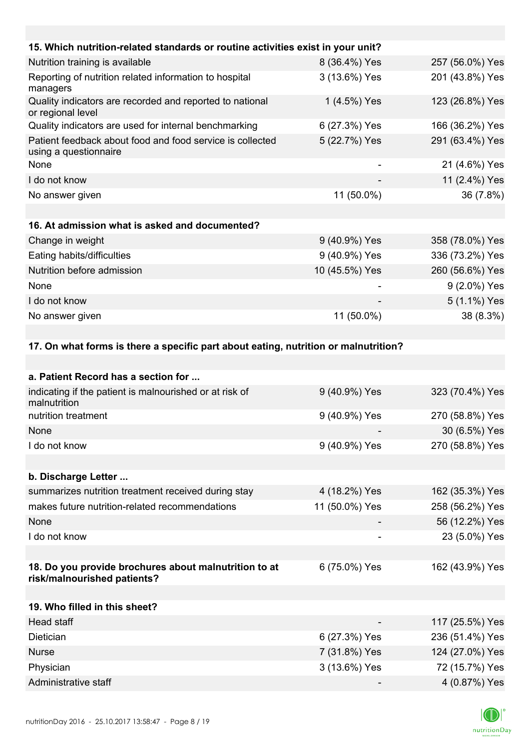| 15. Which nutrition-related standards or routine activities exist in your unit?      |                |                 |
|--------------------------------------------------------------------------------------|----------------|-----------------|
| Nutrition training is available                                                      | 8 (36.4%) Yes  | 257 (56.0%) Yes |
| Reporting of nutrition related information to hospital<br>managers                   | 3 (13.6%) Yes  | 201 (43.8%) Yes |
| Quality indicators are recorded and reported to national<br>or regional level        | 1 (4.5%) Yes   | 123 (26.8%) Yes |
| Quality indicators are used for internal benchmarking                                | 6 (27.3%) Yes  | 166 (36.2%) Yes |
| Patient feedback about food and food service is collected<br>using a questionnaire   | 5 (22.7%) Yes  | 291 (63.4%) Yes |
| None                                                                                 |                | 21 (4.6%) Yes   |
| I do not know                                                                        |                | 11 (2.4%) Yes   |
| No answer given                                                                      | 11 (50.0%)     | 36 (7.8%)       |
|                                                                                      |                |                 |
| 16. At admission what is asked and documented?                                       |                |                 |
| Change in weight                                                                     | 9 (40.9%) Yes  | 358 (78.0%) Yes |
| Eating habits/difficulties                                                           | 9 (40.9%) Yes  | 336 (73.2%) Yes |
| Nutrition before admission                                                           | 10 (45.5%) Yes | 260 (56.6%) Yes |
| None                                                                                 |                | 9 (2.0%) Yes    |
| I do not know                                                                        |                | 5 (1.1%) Yes    |
| No answer given                                                                      | 11 (50.0%)     | 38 (8.3%)       |
|                                                                                      |                |                 |
| 17. On what forms is there a specific part about eating, nutrition or malnutrition?  |                |                 |
|                                                                                      |                |                 |
| a. Patient Record has a section for                                                  |                |                 |
| indicating if the patient is malnourished or at risk of<br>malnutrition              | 9 (40.9%) Yes  | 323 (70.4%) Yes |
| nutrition treatment                                                                  | 9 (40.9%) Yes  | 270 (58.8%) Yes |
| None                                                                                 |                | 30 (6.5%) Yes   |
| I do not know                                                                        | 9 (40.9%) Yes  | 270 (58.8%) Yes |
|                                                                                      |                |                 |
| b. Discharge Letter                                                                  |                |                 |
| summarizes nutrition treatment received during stay                                  | 4 (18.2%) Yes  | 162 (35.3%) Yes |
| makes future nutrition-related recommendations                                       | 11 (50.0%) Yes | 258 (56.2%) Yes |
| None                                                                                 |                | 56 (12.2%) Yes  |
| I do not know                                                                        |                | 23 (5.0%) Yes   |
|                                                                                      |                |                 |
| 18. Do you provide brochures about malnutrition to at<br>risk/malnourished patients? | 6 (75.0%) Yes  | 162 (43.9%) Yes |
| 19. Who filled in this sheet?                                                        |                |                 |

| Head staff           | $\overline{\phantom{0}}$ | 117 (25.5%) Yes |
|----------------------|--------------------------|-----------------|
| Dietician            | 6 (27.3%) Yes            | 236 (51.4%) Yes |
| <b>Nurse</b>         | 7 (31.8%) Yes            | 124 (27.0%) Yes |
| Physician            | 3 (13.6%) Yes            | 72 (15.7%) Yes  |
| Administrative staff |                          | 4 (0.87%) Yes   |

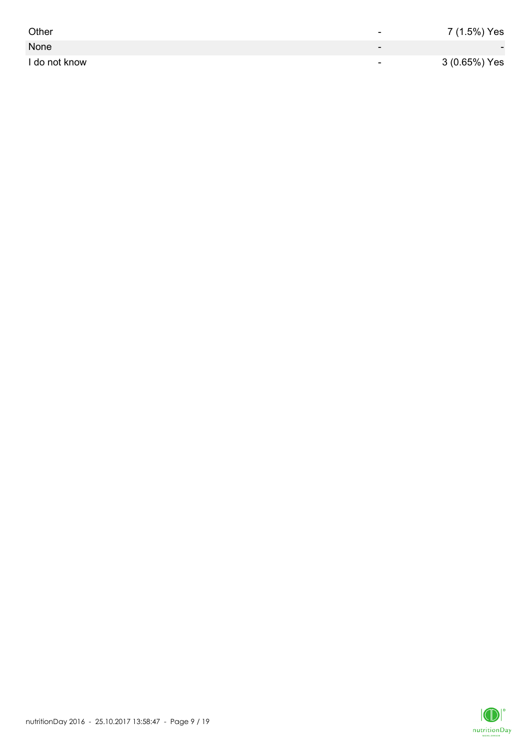| Other         | -                        | 7 (1.5%) Yes             |
|---------------|--------------------------|--------------------------|
| None          | $\overline{\phantom{0}}$ | $\overline{\phantom{0}}$ |
| I do not know | $\overline{\phantom{0}}$ | 3 (0.65%) Yes            |

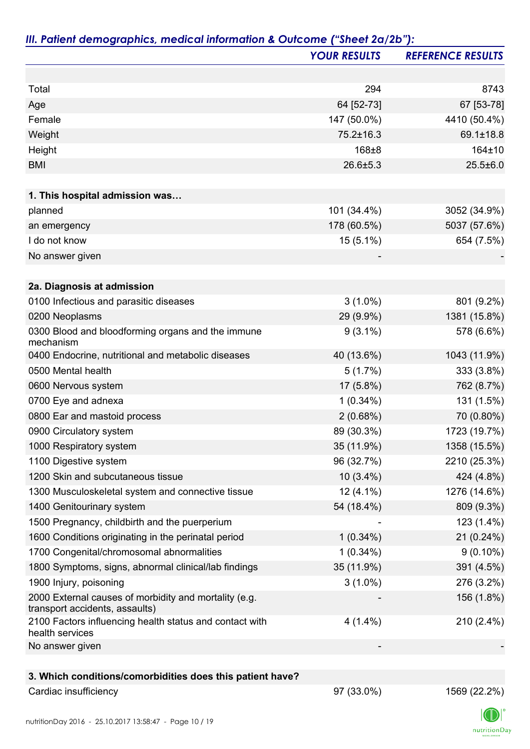|                                                                                         | <b>YOUR RESULTS</b> | <b>REFERENCE RESULTS</b> |
|-----------------------------------------------------------------------------------------|---------------------|--------------------------|
|                                                                                         |                     |                          |
| Total                                                                                   | 294                 | 8743                     |
| Age                                                                                     | 64 [52-73]          | 67 [53-78]               |
| Female                                                                                  | 147 (50.0%)         | 4410 (50.4%)             |
| Weight                                                                                  | 75.2±16.3           | 69.1±18.8                |
| Height                                                                                  | 168±8               | 164±10                   |
| <b>BMI</b>                                                                              | $26.6 \pm 5.3$      | $25.5 \pm 6.0$           |
| 1. This hospital admission was                                                          |                     |                          |
| planned                                                                                 | 101 (34.4%)         | 3052 (34.9%)             |
| an emergency                                                                            | 178 (60.5%)         | 5037 (57.6%)             |
| I do not know                                                                           | $15(5.1\%)$         | 654 (7.5%)               |
| No answer given                                                                         |                     |                          |
|                                                                                         |                     |                          |
| 2a. Diagnosis at admission                                                              |                     |                          |
| 0100 Infectious and parasitic diseases                                                  | $3(1.0\%)$          | 801 (9.2%)               |
| 0200 Neoplasms                                                                          | 29 (9.9%)           | 1381 (15.8%)             |
| 0300 Blood and bloodforming organs and the immune<br>mechanism                          | $9(3.1\%)$          | 578 (6.6%)               |
| 0400 Endocrine, nutritional and metabolic diseases                                      | 40 (13.6%)          | 1043 (11.9%)             |
| 0500 Mental health                                                                      | 5(1.7%)             | 333 (3.8%)               |
| 0600 Nervous system                                                                     | 17 (5.8%)           | 762 (8.7%)               |
| 0700 Eye and adnexa                                                                     | $1(0.34\%)$         | 131 (1.5%)               |
| 0800 Ear and mastoid process                                                            | 2(0.68%)            | 70 (0.80%)               |
| 0900 Circulatory system                                                                 | 89 (30.3%)          | 1723 (19.7%)             |
| 1000 Respiratory system                                                                 | 35 (11.9%)          | 1358 (15.5%)             |
| 1100 Digestive system                                                                   | 96 (32.7%)          | 2210 (25.3%)             |
| 1200 Skin and subcutaneous tissue                                                       | $10(3.4\%)$         | 424 (4.8%)               |
| 1300 Musculoskeletal system and connective tissue                                       | $12(4.1\%)$         | 1276 (14.6%)             |
| 1400 Genitourinary system                                                               | 54 (18.4%)          | 809 (9.3%)               |
| 1500 Pregnancy, childbirth and the puerperium                                           |                     | 123 (1.4%)               |
| 1600 Conditions originating in the perinatal period                                     | $1(0.34\%)$         | 21 (0.24%)               |
| 1700 Congenital/chromosomal abnormalities                                               | $1(0.34\%)$         | $9(0.10\%)$              |
| 1800 Symptoms, signs, abnormal clinical/lab findings                                    | 35 (11.9%)          | 391 (4.5%)               |
| 1900 Injury, poisoning                                                                  | $3(1.0\%)$          | 276 (3.2%)               |
| 2000 External causes of morbidity and mortality (e.g.<br>transport accidents, assaults) |                     | 156 (1.8%)               |
| 2100 Factors influencing health status and contact with<br>health services              | $4(1.4\%)$          | 210 (2.4%)               |
| No answer given                                                                         |                     |                          |
|                                                                                         |                     |                          |
| 3. Which conditions/comorbidities does this patient have?                               |                     |                          |
| Cardiac insufficiency                                                                   | 97 (33.0%)          | 1569 (22.2%)             |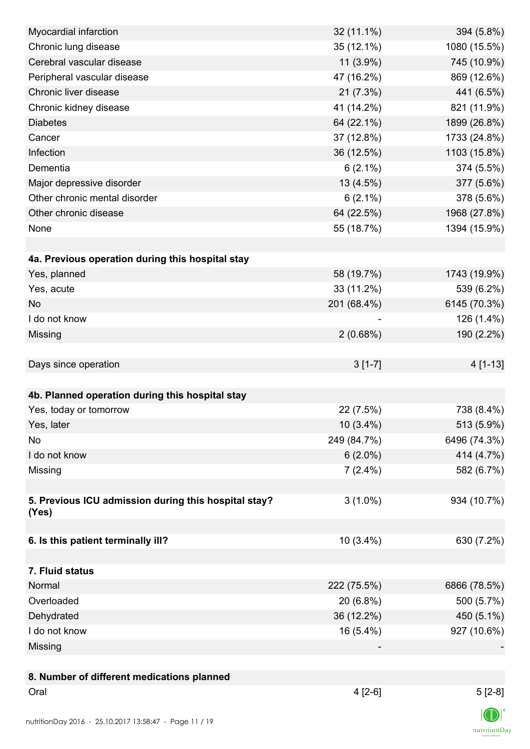| Myocardial infarction                                | 32 (11.1%)  | 394 (5.8%)   |
|------------------------------------------------------|-------------|--------------|
| Chronic lung disease                                 | 35 (12.1%)  | 1080 (15.5%) |
| Cerebral vascular disease                            | $11(3.9\%)$ | 745 (10.9%)  |
| Peripheral vascular disease                          | 47 (16.2%)  | 869 (12.6%)  |
| Chronic liver disease                                | 21 (7.3%)   | 441 (6.5%)   |
| Chronic kidney disease                               | 41 (14.2%)  | 821 (11.9%)  |
| <b>Diabetes</b>                                      | 64 (22.1%)  | 1899 (26.8%) |
| Cancer                                               | 37 (12.8%)  | 1733 (24.8%) |
| Infection                                            | 36 (12.5%)  | 1103 (15.8%) |
| Dementia                                             | $6(2.1\%)$  | 374 (5.5%)   |
| Major depressive disorder                            | 13 (4.5%)   | 377 (5.6%)   |
| Other chronic mental disorder                        | $6(2.1\%)$  | 378 (5.6%)   |
| Other chronic disease                                | 64 (22.5%)  | 1968 (27.8%) |
| None                                                 | 55 (18.7%)  | 1394 (15.9%) |
|                                                      |             |              |
| 4a. Previous operation during this hospital stay     |             |              |
| Yes, planned                                         | 58 (19.7%)  | 1743 (19.9%) |
| Yes, acute                                           | 33 (11.2%)  | 539 (6.2%)   |
| <b>No</b>                                            | 201 (68.4%) | 6145 (70.3%) |
| I do not know                                        |             | 126 (1.4%)   |
| Missing                                              | 2(0.68%)    | 190 (2.2%)   |
|                                                      |             |              |
| Days since operation                                 | $3[1-7]$    | 4 [1-13]     |
|                                                      |             |              |
|                                                      |             |              |
|                                                      |             |              |
| 4b. Planned operation during this hospital stay      |             |              |
| Yes, today or tomorrow                               | 22 (7.5%)   | 738 (8.4%)   |
| Yes, later                                           | $10(3.4\%)$ | 513 (5.9%)   |
| No                                                   | 249 (84.7%) | 6496 (74.3%) |
| I do not know                                        | $6(2.0\%)$  | 414 (4.7%)   |
| Missing                                              | $7(2.4\%)$  | 582 (6.7%)   |
|                                                      |             |              |
| 5. Previous ICU admission during this hospital stay? | $3(1.0\%)$  | 934 (10.7%)  |
| (Yes)                                                |             |              |
|                                                      |             |              |
| 6. Is this patient terminally ill?                   | 10 (3.4%)   | 630 (7.2%)   |
|                                                      |             |              |
| 7. Fluid status                                      |             |              |
| Normal                                               | 222 (75.5%) | 6866 (78.5%) |
| Overloaded                                           | 20 (6.8%)   | 500 (5.7%)   |
| Dehydrated                                           | 36 (12.2%)  | 450 (5.1%)   |
| I do not know                                        | 16 (5.4%)   | 927 (10.6%)  |
| Missing                                              |             |              |
|                                                      |             |              |
| 8. Number of different medications planned           |             |              |
| Oral                                                 | $4[2-6]$    | $5[2-8]$     |

 $\textsf{nutritionDay}$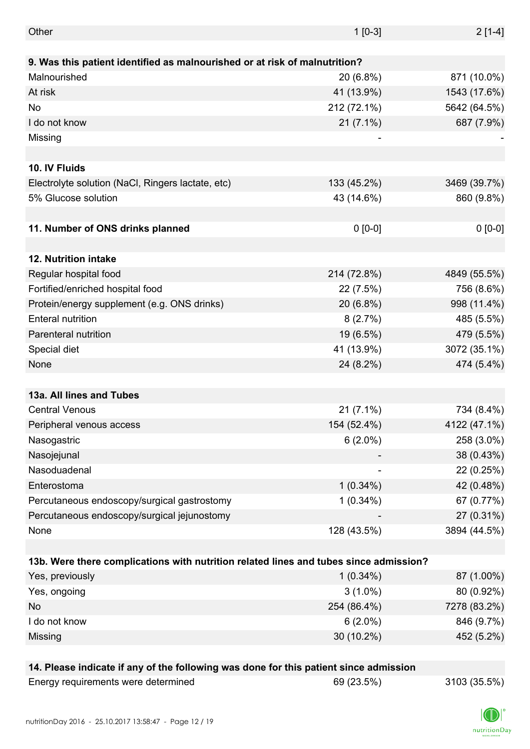| Other                                                                                 | $1 [0-3]$   | $2[1-4]$     |
|---------------------------------------------------------------------------------------|-------------|--------------|
|                                                                                       |             |              |
| 9. Was this patient identified as malnourished or at risk of malnutrition?            |             |              |
| Malnourished                                                                          | 20 (6.8%)   | 871 (10.0%)  |
| At risk                                                                               | 41 (13.9%)  | 1543 (17.6%) |
| No                                                                                    | 212 (72.1%) | 5642 (64.5%) |
| I do not know                                                                         | $21(7.1\%)$ | 687 (7.9%)   |
| Missing                                                                               |             |              |
|                                                                                       |             |              |
| 10. IV Fluids                                                                         |             |              |
| Electrolyte solution (NaCl, Ringers lactate, etc)                                     | 133 (45.2%) | 3469 (39.7%) |
| 5% Glucose solution                                                                   | 43 (14.6%)  | 860 (9.8%)   |
|                                                                                       |             |              |
| 11. Number of ONS drinks planned                                                      | $0 [0-0]$   | $0 [0-0]$    |
|                                                                                       |             |              |
| 12. Nutrition intake                                                                  |             |              |
| Regular hospital food                                                                 | 214 (72.8%) | 4849 (55.5%) |
| Fortified/enriched hospital food                                                      | 22 (7.5%)   | 756 (8.6%)   |
| Protein/energy supplement (e.g. ONS drinks)                                           | 20 (6.8%)   | 998 (11.4%)  |
| <b>Enteral nutrition</b>                                                              | 8(2.7%)     | 485 (5.5%)   |
| Parenteral nutrition                                                                  | 19 (6.5%)   | 479 (5.5%)   |
| Special diet                                                                          | 41 (13.9%)  | 3072 (35.1%) |
| None                                                                                  | 24 (8.2%)   | 474 (5.4%)   |
|                                                                                       |             |              |
| 13a. All lines and Tubes                                                              |             |              |
| <b>Central Venous</b>                                                                 | $21(7.1\%)$ | 734 (8.4%)   |
| Peripheral venous access                                                              | 154 (52.4%) | 4122 (47.1%) |
| Nasogastric                                                                           | $6(2.0\%)$  | 258 (3.0%)   |
| Nasojejunal                                                                           |             | 38 (0.43%)   |
| Nasoduadenal                                                                          |             | 22 (0.25%)   |
| Enterostoma                                                                           | $1(0.34\%)$ | 42 (0.48%)   |
| Percutaneous endoscopy/surgical gastrostomy                                           | $1(0.34\%)$ | 67 (0.77%)   |
| Percutaneous endoscopy/surgical jejunostomy                                           |             | 27 (0.31%)   |
| None                                                                                  | 128 (43.5%) | 3894 (44.5%) |
|                                                                                       |             |              |
| 13b. Were there complications with nutrition related lines and tubes since admission? |             |              |
| Yes, previously                                                                       | $1(0.34\%)$ | 87 (1.00%)   |
| Yes, ongoing                                                                          | $3(1.0\%)$  | 80 (0.92%)   |
| No                                                                                    | 254 (86.4%) | 7278 (83.2%) |
| I do not know                                                                         | $6(2.0\%)$  | 846 (9.7%)   |
| Missing                                                                               | 30 (10.2%)  | 452 (5.2%)   |
|                                                                                       |             |              |
| 14. Please indicate if any of the following was done for this patient since admission |             |              |
| Energy requirements were determined                                                   | 69 (23.5%)  | 3103 (35.5%) |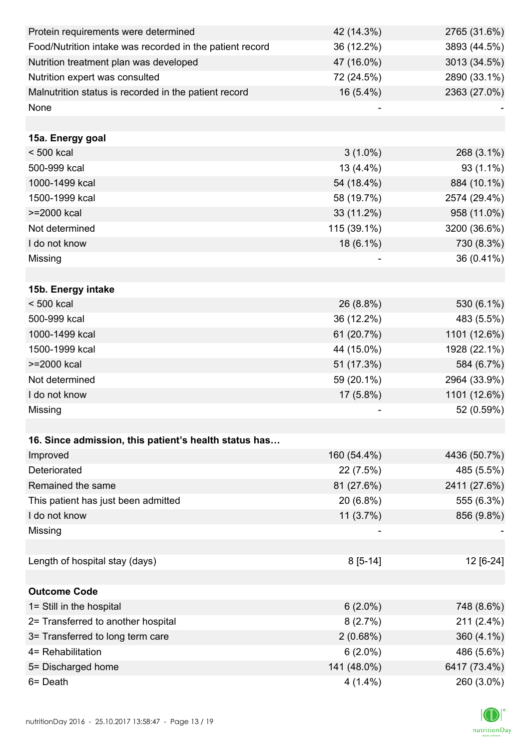| Protein requirements were determined                     | 42 (14.3%)  | 2765 (31.6%) |
|----------------------------------------------------------|-------------|--------------|
| Food/Nutrition intake was recorded in the patient record | 36 (12.2%)  | 3893 (44.5%) |
| Nutrition treatment plan was developed                   | 47 (16.0%)  | 3013 (34.5%) |
| Nutrition expert was consulted                           | 72 (24.5%)  | 2890 (33.1%) |
| Malnutrition status is recorded in the patient record    | 16 (5.4%)   | 2363 (27.0%) |
| None                                                     |             |              |
|                                                          |             |              |
| 15a. Energy goal                                         |             |              |
| $< 500$ kcal                                             | $3(1.0\%)$  | 268 (3.1%)   |
| 500-999 kcal                                             | 13 (4.4%)   | 93 (1.1%)    |
| 1000-1499 kcal                                           | 54 (18.4%)  | 884 (10.1%)  |
| 1500-1999 kcal                                           | 58 (19.7%)  | 2574 (29.4%) |
| >=2000 kcal                                              | 33 (11.2%)  | 958 (11.0%)  |
| Not determined                                           | 115 (39.1%) | 3200 (36.6%) |
| I do not know                                            | 18 (6.1%)   | 730 (8.3%)   |
| Missing                                                  |             | 36 (0.41%)   |
|                                                          |             |              |
| 15b. Energy intake                                       |             |              |
| $< 500$ kcal                                             | 26 (8.8%)   | 530 (6.1%)   |
| 500-999 kcal                                             | 36 (12.2%)  | 483 (5.5%)   |
| 1000-1499 kcal                                           | 61 (20.7%)  | 1101 (12.6%) |
| 1500-1999 kcal                                           | 44 (15.0%)  | 1928 (22.1%) |
| >=2000 kcal                                              | 51 (17.3%)  | 584 (6.7%)   |
| Not determined                                           | 59 (20.1%)  | 2964 (33.9%) |
| I do not know                                            | 17 (5.8%)   | 1101 (12.6%) |
| Missing                                                  |             | 52 (0.59%)   |
|                                                          |             |              |
| 16. Since admission, this patient's health status has    |             |              |
| Improved                                                 | 160 (54.4%) | 4436 (50.7%) |
| Deteriorated                                             | 22 (7.5%)   | 485 (5.5%)   |
| Remained the same                                        | 81 (27.6%)  | 2411 (27.6%) |
| This patient has just been admitted                      | 20 (6.8%)   | 555 (6.3%)   |
| I do not know                                            | 11(3.7%)    | 856 (9.8%)   |
| Missing                                                  |             |              |
|                                                          |             |              |
| Length of hospital stay (days)                           | $8[5-14]$   | 12 [6-24]    |
|                                                          |             |              |
| <b>Outcome Code</b>                                      |             |              |
| 1= Still in the hospital                                 | $6(2.0\%)$  | 748 (8.6%)   |
| 2= Transferred to another hospital                       | 8(2.7%)     | 211 (2.4%)   |
| 3= Transferred to long term care                         | 2(0.68%)    | 360 (4.1%)   |
| 4= Rehabilitation                                        | $6(2.0\%)$  | 486 (5.6%)   |
| 5= Discharged home                                       | 141 (48.0%) | 6417 (73.4%) |
| 6= Death                                                 | $4(1.4\%)$  | 260 (3.0%)   |

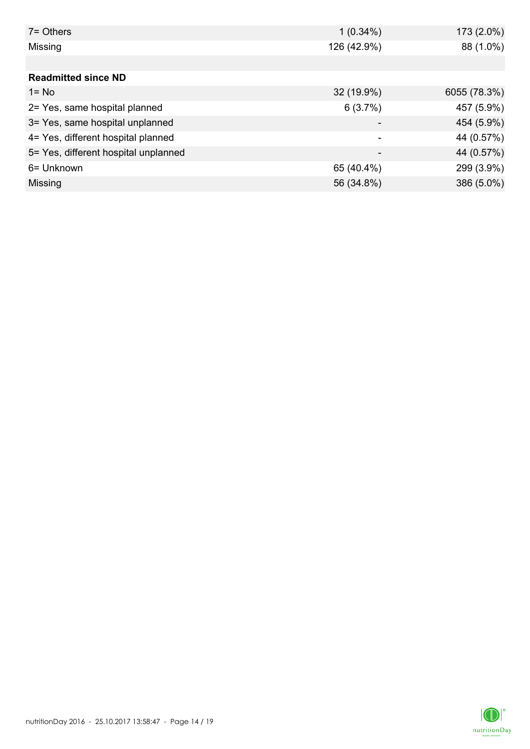| $7 =$ Others                         | $1(0.34\%)$ | 173 (2.0%)   |
|--------------------------------------|-------------|--------------|
| Missing                              | 126 (42.9%) | 88 (1.0%)    |
|                                      |             |              |
| <b>Readmitted since ND</b>           |             |              |
| $1 = No$                             | 32 (19.9%)  | 6055 (78.3%) |
| 2= Yes, same hospital planned        | 6(3.7%)     | 457 (5.9%)   |
| 3= Yes, same hospital unplanned      |             | 454 (5.9%)   |
| 4= Yes, different hospital planned   | ۰           | 44 (0.57%)   |
| 5= Yes, different hospital unplanned | -           | 44 (0.57%)   |
| 6= Unknown                           | 65 (40.4%)  | 299 (3.9%)   |
| Missing                              | 56 (34.8%)  | 386 (5.0%)   |

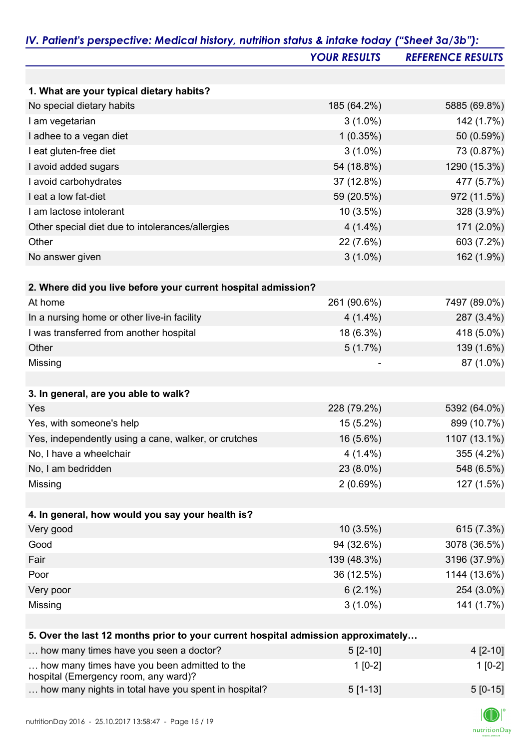|                                                                                   | <b>YOUR RESULTS</b> | <b>REFERENCE RESULTS</b> |
|-----------------------------------------------------------------------------------|---------------------|--------------------------|
|                                                                                   |                     |                          |
| 1. What are your typical dietary habits?                                          |                     |                          |
| No special dietary habits                                                         | 185 (64.2%)         | 5885 (69.8%)             |
| I am vegetarian                                                                   | $3(1.0\%)$          | 142 (1.7%)               |
| I adhee to a vegan diet                                                           | 1(0.35%)            | 50 (0.59%)               |
| I eat gluten-free diet                                                            | $3(1.0\%)$          | 73 (0.87%)               |
| I avoid added sugars                                                              | 54 (18.8%)          | 1290 (15.3%)             |
| I avoid carbohydrates                                                             | 37 (12.8%)          | 477 (5.7%)               |
| I eat a low fat-diet                                                              | 59 (20.5%)          | 972 (11.5%)              |
| I am lactose intolerant                                                           | $10(3.5\%)$         | 328 (3.9%)               |
| Other special diet due to intolerances/allergies                                  | $4(1.4\%)$          | 171 (2.0%)               |
| Other                                                                             | 22 (7.6%)           | 603 (7.2%)               |
| No answer given                                                                   | $3(1.0\%)$          | 162 (1.9%)               |
|                                                                                   |                     |                          |
| 2. Where did you live before your current hospital admission?                     |                     |                          |
| At home                                                                           | 261 (90.6%)         | 7497 (89.0%)             |
| In a nursing home or other live-in facility                                       | $4(1.4\%)$          | 287 (3.4%)               |
| I was transferred from another hospital                                           | 18 (6.3%)           | 418 (5.0%)               |
| Other                                                                             | 5(1.7%)             | 139 (1.6%)               |
| Missing                                                                           |                     | 87 (1.0%)                |
|                                                                                   |                     |                          |
| 3. In general, are you able to walk?                                              |                     |                          |
| Yes                                                                               | 228 (79.2%)         | 5392 (64.0%)             |
| Yes, with someone's help                                                          | 15 (5.2%)           | 899 (10.7%)              |
| Yes, independently using a cane, walker, or crutches                              | 16 (5.6%)           | 1107 (13.1%)             |
| No, I have a wheelchair                                                           | $4(1.4\%)$          | 355 (4.2%)               |
| No, I am bedridden                                                                | 23 (8.0%)           | 548 (6.5%)               |
| Missing                                                                           | 2(0.69%)            | 127 (1.5%)               |
|                                                                                   |                     |                          |
| 4. In general, how would you say your health is?                                  |                     |                          |
| Very good                                                                         | 10 (3.5%)           | 615 (7.3%)               |
| Good                                                                              | 94 (32.6%)          | 3078 (36.5%)             |
| Fair                                                                              | 139 (48.3%)         | 3196 (37.9%)             |
| Poor                                                                              | 36 (12.5%)          | 1144 (13.6%)             |
| Very poor                                                                         | $6(2.1\%)$          | 254 (3.0%)               |
| Missing                                                                           | $3(1.0\%)$          | 141 (1.7%)               |
|                                                                                   |                     |                          |
| 5. Over the last 12 months prior to your current hospital admission approximately |                     |                          |
| how many times have you seen a doctor?                                            | $5[2-10]$           | 4 [2-10]                 |
| how many times have you been admitted to the                                      | $1[0-2]$            | $1[0-2]$                 |

## hospital (Emergency room, any ward)?

|  | results and the contract of the contract of the contract of the contract of the contract of the contract of th |  |                                                             |           |           |
|--|----------------------------------------------------------------------------------------------------------------|--|-------------------------------------------------------------|-----------|-----------|
|  |                                                                                                                |  | $\sim$ how many nights in total have you spent in hospital? | $5[1-13]$ | $5[0-15]$ |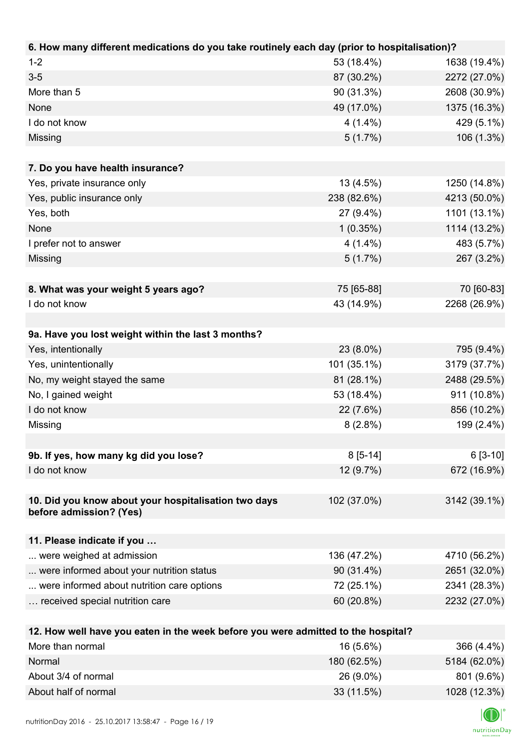| 6. How many different medications do you take routinely each day (prior to hospitalisation)? |             |              |
|----------------------------------------------------------------------------------------------|-------------|--------------|
| $1 - 2$                                                                                      | 53 (18.4%)  | 1638 (19.4%) |
| $3-5$                                                                                        | 87 (30.2%)  | 2272 (27.0%) |
| More than 5                                                                                  | 90 (31.3%)  | 2608 (30.9%) |
| None                                                                                         | 49 (17.0%)  | 1375 (16.3%) |
| I do not know                                                                                | $4(1.4\%)$  | 429 (5.1%)   |
| Missing                                                                                      | $5(1.7\%)$  | 106 (1.3%)   |
|                                                                                              |             |              |
| 7. Do you have health insurance?                                                             |             |              |
| Yes, private insurance only                                                                  | 13 (4.5%)   | 1250 (14.8%) |
| Yes, public insurance only                                                                   | 238 (82.6%) | 4213 (50.0%) |
| Yes, both                                                                                    | 27 (9.4%)   | 1101 (13.1%) |
| None                                                                                         | 1(0.35%)    | 1114 (13.2%) |
| I prefer not to answer                                                                       | $4(1.4\%)$  | 483 (5.7%)   |
| Missing                                                                                      | $5(1.7\%)$  | 267 (3.2%)   |
|                                                                                              |             |              |
| 8. What was your weight 5 years ago?                                                         | 75 [65-88]  | 70 [60-83]   |
| I do not know                                                                                | 43 (14.9%)  | 2268 (26.9%) |
|                                                                                              |             |              |
| 9a. Have you lost weight within the last 3 months?                                           |             |              |
| Yes, intentionally                                                                           | 23 (8.0%)   | 795 (9.4%)   |
| Yes, unintentionally                                                                         | 101 (35.1%) | 3179 (37.7%) |
| No, my weight stayed the same                                                                | 81 (28.1%)  | 2488 (29.5%) |
| No, I gained weight                                                                          | 53 (18.4%)  | 911 (10.8%)  |
| I do not know                                                                                | 22 (7.6%)   | 856 (10.2%)  |
| Missing                                                                                      | $8(2.8\%)$  | 199 (2.4%)   |
|                                                                                              |             |              |
| 9b. If yes, how many kg did you lose?                                                        | $8[5-14]$   | $6[3-10]$    |
| I do not know                                                                                | $12(9.7\%)$ | 672 (16.9%)  |
|                                                                                              |             |              |
| 10. Did you know about your hospitalisation two days                                         | 102 (37.0%) | 3142 (39.1%) |
| before admission? (Yes)                                                                      |             |              |
|                                                                                              |             |              |
| 11. Please indicate if you                                                                   |             |              |
| were weighed at admission                                                                    | 136 (47.2%) | 4710 (56.2%) |
| were informed about your nutrition status                                                    | 90 (31.4%)  | 2651 (32.0%) |
| were informed about nutrition care options                                                   | 72 (25.1%)  | 2341 (28.3%) |
| received special nutrition care                                                              | 60 (20.8%)  | 2232 (27.0%) |
|                                                                                              |             |              |
| 12. How well have you eaten in the week before you were admitted to the hospital?            |             |              |
| More than normal                                                                             | 16 (5.6%)   | 366 (4.4%)   |
| Normal                                                                                       | 180 (62.5%) | 5184 (62.0%) |
| About 3/4 of normal                                                                          | 26 (9.0%)   | 801 (9.6%)   |

About half of normal 33 (11.5%) 1028 (12.3%)

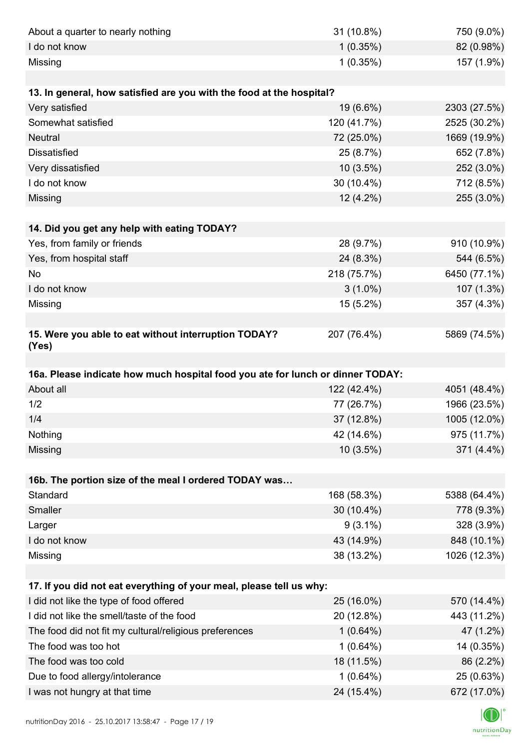| About a quarter to nearly nothing                                              | 31 (10.8%)                | 750 (9.0%)                |
|--------------------------------------------------------------------------------|---------------------------|---------------------------|
| I do not know                                                                  | 1(0.35%)                  | 82 (0.98%)                |
| Missing                                                                        | 1(0.35%)                  | 157 (1.9%)                |
|                                                                                |                           |                           |
| 13. In general, how satisfied are you with the food at the hospital?           |                           |                           |
| Very satisfied                                                                 | 19 (6.6%)                 | 2303 (27.5%)              |
| Somewhat satisfied                                                             | 120 (41.7%)               | 2525 (30.2%)              |
| <b>Neutral</b>                                                                 | 72 (25.0%)                | 1669 (19.9%)              |
| <b>Dissatisfied</b>                                                            | 25 (8.7%)                 | 652 (7.8%)                |
| Very dissatisfied                                                              | $10(3.5\%)$               | 252 (3.0%)                |
| I do not know                                                                  | 30 (10.4%)                | 712 (8.5%)                |
| Missing                                                                        | 12 (4.2%)                 | 255 (3.0%)                |
|                                                                                |                           |                           |
| 14. Did you get any help with eating TODAY?                                    |                           |                           |
| Yes, from family or friends                                                    | 28 (9.7%)                 | 910 (10.9%)               |
| Yes, from hospital staff                                                       | 24 (8.3%)                 | 544 (6.5%)                |
| No                                                                             | 218 (75.7%)               | 6450 (77.1%)              |
| I do not know                                                                  | $3(1.0\%)$                | 107 (1.3%)                |
| Missing                                                                        | 15 (5.2%)                 | 357 (4.3%)                |
|                                                                                |                           |                           |
| 15. Were you able to eat without interruption TODAY?<br>(Yes)                  | 207 (76.4%)               | 5869 (74.5%)              |
|                                                                                |                           |                           |
| 16a. Please indicate how much hospital food you ate for lunch or dinner TODAY: |                           |                           |
| About all                                                                      | 122 (42.4%)               | 4051 (48.4%)              |
| 1/2                                                                            | 77 (26.7%)                | 1966 (23.5%)              |
| 1/4                                                                            | 37 (12.8%)                | 1005 (12.0%)              |
| Nothing                                                                        | 42 (14.6%)                | 975 (11.7%)               |
| Missing                                                                        |                           |                           |
|                                                                                | 10(3.5%)                  | 371 (4.4%)                |
|                                                                                |                           |                           |
| 16b. The portion size of the meal I ordered TODAY was                          |                           |                           |
| Standard                                                                       | 168 (58.3%)               | 5388 (64.4%)              |
| Smaller                                                                        | 30 (10.4%)                | 778 (9.3%)                |
| Larger                                                                         | $9(3.1\%)$                | 328 (3.9%)                |
| I do not know                                                                  | 43 (14.9%)                | 848 (10.1%)               |
| Missing                                                                        | 38 (13.2%)                | 1026 (12.3%)              |
|                                                                                |                           |                           |
| 17. If you did not eat everything of your meal, please tell us why:            |                           |                           |
| I did not like the type of food offered                                        | 25 (16.0%)                | 570 (14.4%)               |
| I did not like the smell/taste of the food                                     | 20 (12.8%)                | 443 (11.2%)               |
| The food did not fit my cultural/religious preferences                         | $1(0.64\%)$               | 47 (1.2%)                 |
| The food was too hot                                                           | $1(0.64\%)$               | 14 (0.35%)                |
| The food was too cold                                                          | 18 (11.5%)                | 86 (2.2%)                 |
| Due to food allergy/intolerance<br>I was not hungry at that time               | $1(0.64\%)$<br>24 (15.4%) | 25 (0.63%)<br>672 (17.0%) |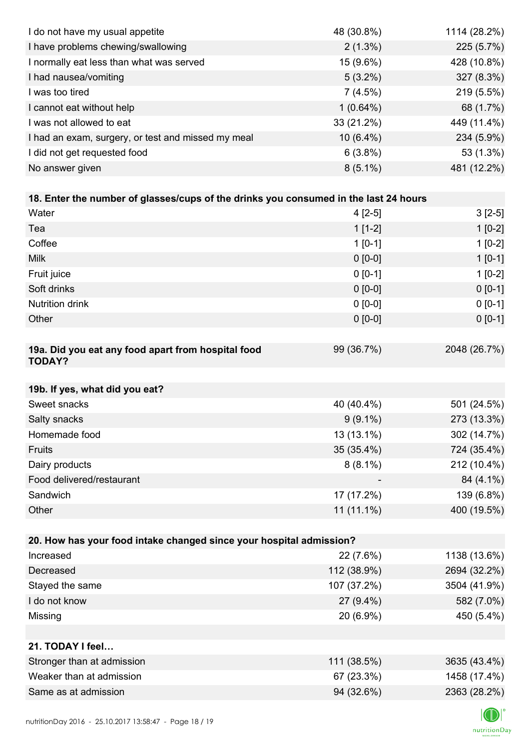| I do not have my usual appetite                                                      | 48 (30.8%)  | 1114 (28.2%) |
|--------------------------------------------------------------------------------------|-------------|--------------|
| I have problems chewing/swallowing                                                   | $2(1.3\%)$  | 225 (5.7%)   |
| I normally eat less than what was served                                             | 15 (9.6%)   | 428 (10.8%)  |
| I had nausea/vomiting                                                                | $5(3.2\%)$  | 327 (8.3%)   |
| I was too tired                                                                      | 7(4.5%)     | 219 (5.5%)   |
| I cannot eat without help                                                            | $1(0.64\%)$ | 68 (1.7%)    |
| I was not allowed to eat                                                             | 33 (21.2%)  | 449 (11.4%)  |
| I had an exam, surgery, or test and missed my meal                                   | $10(6.4\%)$ | 234 (5.9%)   |
| I did not get requested food                                                         | 6(3.8%)     | 53 (1.3%)    |
| No answer given                                                                      | $8(5.1\%)$  | 481 (12.2%)  |
|                                                                                      |             |              |
| 18. Enter the number of glasses/cups of the drinks you consumed in the last 24 hours |             |              |
| Water                                                                                | $4[2-5]$    | $3[2-5]$     |
| Tea                                                                                  | $1[1-2]$    | $1[0-2]$     |
| Coffee                                                                               | $1 [0-1]$   | $1[0-2]$     |
| <b>Milk</b>                                                                          | $0 [0-0]$   | $1[0-1]$     |
| Fruit juice                                                                          | $0 [0-1]$   | $1[0-2]$     |
| Soft drinks                                                                          | $0 [0-0]$   | $0[0-1]$     |
| <b>Nutrition drink</b>                                                               | $0 [0-0]$   | $0 [0-1]$    |
| Other                                                                                | $0 [0-0]$   | $0 [0-1]$    |
|                                                                                      |             |              |
| 19a. Did you eat any food apart from hospital food<br><b>TODAY?</b>                  | 99 (36.7%)  | 2048 (26.7%) |
| 19b. If yes, what did you eat?                                                       |             |              |
| Sweet snacks                                                                         | 40 (40.4%)  | 501 (24.5%)  |
| Salty snacks                                                                         | $9(9.1\%)$  | 273 (13.3%)  |
| Homemade food                                                                        | 13 (13.1%)  | 302 (14.7%)  |
| Fruits                                                                               | 35 (35.4%)  | 724 (35.4%)  |
| Dairy products                                                                       | $8(8.1\%)$  | 212 (10.4%)  |
| Food delivered/restaurant                                                            |             | 84 (4.1%)    |
| Sandwich                                                                             | 17 (17.2%)  | 139 (6.8%)   |
| Other                                                                                | 11 (11.1%)  | 400 (19.5%)  |
|                                                                                      |             |              |
| 20. How has your food intake changed since your hospital admission?                  |             |              |
| Increased                                                                            | 22 (7.6%)   | 1138 (13.6%) |
| Decreased                                                                            | 112 (38.9%) | 2694 (32.2%) |
| Stayed the same                                                                      | 107 (37.2%) | 3504 (41.9%) |
| I do not know                                                                        | 27 (9.4%)   | 582 (7.0%)   |
| Missing                                                                              | 20 (6.9%)   | 450 (5.4%)   |
|                                                                                      |             |              |
| 21. TODAY I feel                                                                     |             |              |
| Stronger than at admission                                                           | 111 (38.5%) | 3635 (43.4%) |
| Weaker than at admission                                                             | 67 (23.3%)  | 1458 (17.4%) |
| Same as at admission                                                                 | 94 (32.6%)  | 2363 (28.2%) |
|                                                                                      |             |              |